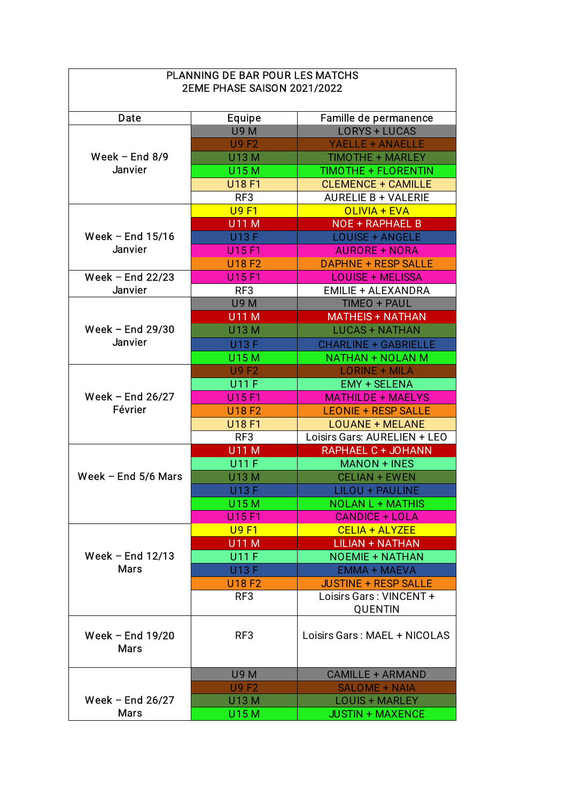| <b>PLANNING DE BAR POUR LES MATCHS</b><br><b>2EME PHASE SAISON 2021/2022</b> |                 |                              |  |  |
|------------------------------------------------------------------------------|-----------------|------------------------------|--|--|
| <b>Date</b>                                                                  | <b>Equipe</b>   | Famille de permanence        |  |  |
|                                                                              | <b>U9M</b>      | <b>LORYS + LUCAS</b>         |  |  |
|                                                                              | <b>U9F2</b>     | <b>YAELLE + ANAELLE</b>      |  |  |
| Week $-$ End 8/9<br><b>Janvier</b>                                           | <b>U13 M</b>    | <b>TIMOTHE + MARLEY</b>      |  |  |
|                                                                              | <b>U15M</b>     | <b>TIMOTHE + FLORENTIN</b>   |  |  |
|                                                                              | <b>U18 F1</b>   | <b>CLEMENCE + CAMILLE</b>    |  |  |
|                                                                              | RF3             | <b>AURELIE B + VALERIE</b>   |  |  |
|                                                                              | <b>U9F1</b>     | <b>OLIVIA + EVA</b>          |  |  |
|                                                                              | <b>U11 M</b>    | <b>NOE + RAPHAEL B</b>       |  |  |
| Week $-$ End 15/16                                                           | <b>U13 F</b>    | <b>LOUISE + ANGELE</b>       |  |  |
| <b>Janvier</b>                                                               | U15 F1          | <b>AURORE + NORA</b>         |  |  |
|                                                                              | <b>U18 F2</b>   | <b>DAPHNE + RESP SALLE</b>   |  |  |
| Week $-$ End 22/23                                                           | U15 F1          | <b>LOUISE + MELISSA</b>      |  |  |
| <b>Janvier</b>                                                               | RF <sub>3</sub> | <b>EMILIE + ALEXANDRA</b>    |  |  |
| Week $-$ End 29/30<br><b>Janvier</b>                                         | <b>U9M</b>      | TIMEO + PAUL                 |  |  |
|                                                                              | <b>U11 M</b>    | <b>MATHEIS + NATHAN</b>      |  |  |
|                                                                              | <b>U13 M</b>    | <b>LUCAS + NATHAN</b>        |  |  |
|                                                                              | <b>U13 F</b>    | <b>CHARLINE + GABRIELLE</b>  |  |  |
|                                                                              | <b>U15M</b>     | <b>NATHAN + NOLAN M</b>      |  |  |
|                                                                              | <b>U9F2</b>     | <b>LORINE + MILA</b>         |  |  |
| Week $-$ End 26/27<br>Février                                                | <b>U11 F</b>    | <b>EMY + SELENA</b>          |  |  |
|                                                                              | U15 F1          | <b>MATHILDE + MAELYS</b>     |  |  |
|                                                                              | <b>U18F2</b>    | <b>LEONIE + RESP SALLE</b>   |  |  |
|                                                                              | <b>U18 F1</b>   | <b>LOUANE + MELANE</b>       |  |  |
|                                                                              | RF3             | Loisirs Gars: AURELIEN + LEO |  |  |
|                                                                              | <b>U11 M</b>    | RAPHAEL C + JOHANN           |  |  |
|                                                                              | <b>U11 F</b>    | <b>MANON + INES</b>          |  |  |
| Week $-$ End 5/6 Mars                                                        | U13 M           | <b>CELIAN + EWEN</b>         |  |  |
|                                                                              | <b>U13 F</b>    | LILOU + PAULINE              |  |  |
|                                                                              | <b>U15M</b>     | <b>NOLAN L + MATHIS</b>      |  |  |
|                                                                              | U15 F1          | <b>CANDICE + LOLA</b>        |  |  |
|                                                                              | <b>U9F1</b>     | CELIA + ALYZEE               |  |  |
|                                                                              | <b>U11 M</b>    | <b>LILIAN + NATHAN</b>       |  |  |
| Week $-$ End 12/13                                                           | <b>U11 F</b>    | <b>NOEMIE + NATHAN</b>       |  |  |
| <b>Mars</b>                                                                  | <b>U13 F</b>    | <b>EMMA + MAEVA</b>          |  |  |
|                                                                              | <b>U18 F2</b>   | <b>JUSTINE + RESP SALLE</b>  |  |  |
|                                                                              | RF <sub>3</sub> | Loisirs Gars: VINCENT +      |  |  |
|                                                                              |                 | QUENTIN                      |  |  |
| Week $-$ End 19/20<br><b>Mars</b>                                            | RF3             | Loisirs Gars: MAEL + NICOLAS |  |  |
|                                                                              | <b>U9M</b>      | <b>CAMILLE + ARMAND</b>      |  |  |
|                                                                              | <b>U9F2</b>     | <b>SALOME + NAIA</b>         |  |  |
| Week $-$ End 26/27                                                           | <b>U13 M</b>    | <b>LOUIS + MARLEY</b>        |  |  |
| <b>Mars</b>                                                                  | U15 M           | <b>JUSTIN + MAXENCE</b>      |  |  |